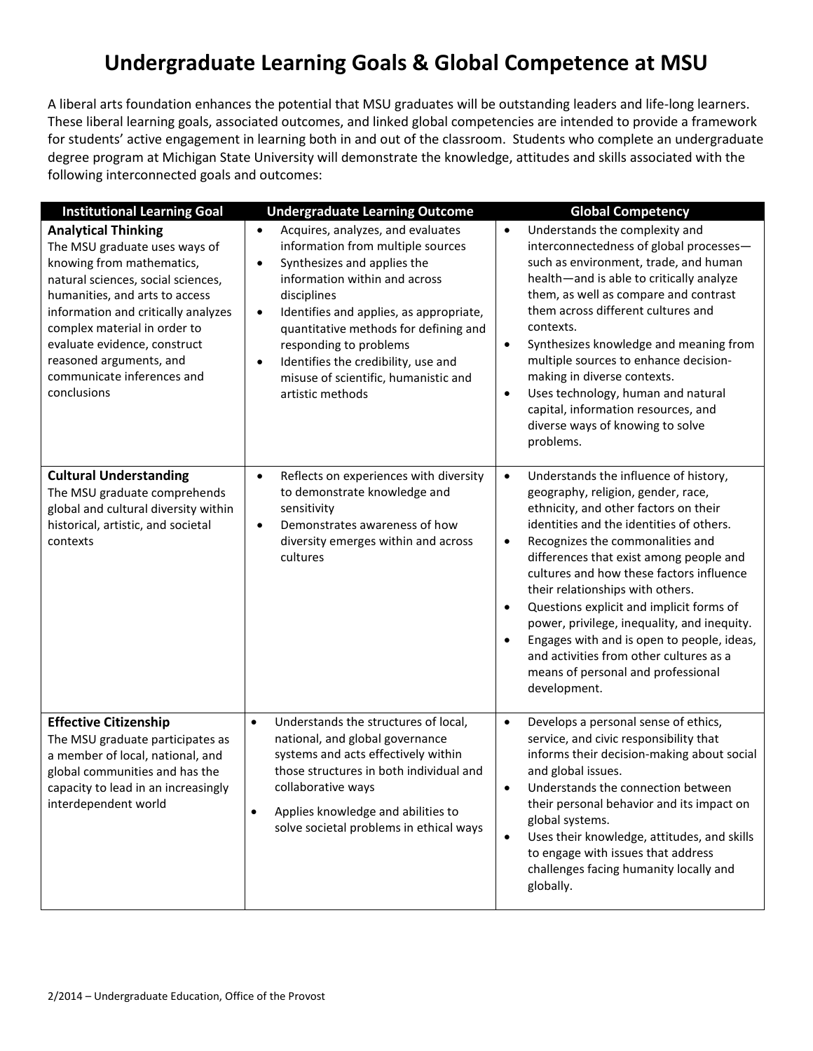## **Undergraduate Learning Goals & Global Competence at MSU**

A liberal arts foundation enhances the potential that MSU graduates will be outstanding leaders and life-long learners. These liberal learning goals, associated outcomes, and linked global competencies are intended to provide a framework for students' active engagement in learning both in and out of the classroom. Students who complete an undergraduate degree program at Michigan State University will demonstrate the knowledge, attitudes and skills associated with the following interconnected goals and outcomes:

| <b>Institutional Learning Goal</b>                                                                                                                                                                                                                                                                                                              | <b>Undergraduate Learning Outcome</b>                                                                                                                                                                                                                                                                                                                                                                                      | <b>Global Competency</b>                                                                                                                                                                                                                                                                                                                                                                                                                                                                                                                                                                                                      |
|-------------------------------------------------------------------------------------------------------------------------------------------------------------------------------------------------------------------------------------------------------------------------------------------------------------------------------------------------|----------------------------------------------------------------------------------------------------------------------------------------------------------------------------------------------------------------------------------------------------------------------------------------------------------------------------------------------------------------------------------------------------------------------------|-------------------------------------------------------------------------------------------------------------------------------------------------------------------------------------------------------------------------------------------------------------------------------------------------------------------------------------------------------------------------------------------------------------------------------------------------------------------------------------------------------------------------------------------------------------------------------------------------------------------------------|
| <b>Analytical Thinking</b><br>The MSU graduate uses ways of<br>knowing from mathematics,<br>natural sciences, social sciences,<br>humanities, and arts to access<br>information and critically analyzes<br>complex material in order to<br>evaluate evidence, construct<br>reasoned arguments, and<br>communicate inferences and<br>conclusions | Acquires, analyzes, and evaluates<br>$\bullet$<br>information from multiple sources<br>Synthesizes and applies the<br>$\bullet$<br>information within and across<br>disciplines<br>Identifies and applies, as appropriate,<br>$\bullet$<br>quantitative methods for defining and<br>responding to problems<br>Identifies the credibility, use and<br>$\bullet$<br>misuse of scientific, humanistic and<br>artistic methods | Understands the complexity and<br>$\bullet$<br>interconnectedness of global processes-<br>such as environment, trade, and human<br>health-and is able to critically analyze<br>them, as well as compare and contrast<br>them across different cultures and<br>contexts.<br>Synthesizes knowledge and meaning from<br>$\bullet$<br>multiple sources to enhance decision-<br>making in diverse contexts.<br>Uses technology, human and natural<br>$\bullet$<br>capital, information resources, and<br>diverse ways of knowing to solve<br>problems.                                                                             |
| <b>Cultural Understanding</b><br>The MSU graduate comprehends<br>global and cultural diversity within<br>historical, artistic, and societal<br>contexts                                                                                                                                                                                         | Reflects on experiences with diversity<br>$\bullet$<br>to demonstrate knowledge and<br>sensitivity<br>Demonstrates awareness of how<br>$\bullet$<br>diversity emerges within and across<br>cultures                                                                                                                                                                                                                        | Understands the influence of history,<br>$\bullet$<br>geography, religion, gender, race,<br>ethnicity, and other factors on their<br>identities and the identities of others.<br>Recognizes the commonalities and<br>$\bullet$<br>differences that exist among people and<br>cultures and how these factors influence<br>their relationships with others.<br>Questions explicit and implicit forms of<br>$\bullet$<br>power, privilege, inequality, and inequity.<br>Engages with and is open to people, ideas,<br>$\bullet$<br>and activities from other cultures as a<br>means of personal and professional<br>development. |
| <b>Effective Citizenship</b><br>The MSU graduate participates as<br>a member of local, national, and<br>global communities and has the<br>capacity to lead in an increasingly<br>interdependent world                                                                                                                                           | $\bullet$<br>Understands the structures of local,<br>national, and global governance<br>systems and acts effectively within<br>those structures in both individual and<br>collaborative ways<br>Applies knowledge and abilities to<br>solve societal problems in ethical ways                                                                                                                                              | Develops a personal sense of ethics,<br>$\bullet$<br>service, and civic responsibility that<br>informs their decision-making about social<br>and global issues.<br>Understands the connection between<br>$\bullet$<br>their personal behavior and its impact on<br>global systems.<br>Uses their knowledge, attitudes, and skills<br>$\bullet$<br>to engage with issues that address<br>challenges facing humanity locally and<br>globally.                                                                                                                                                                                   |